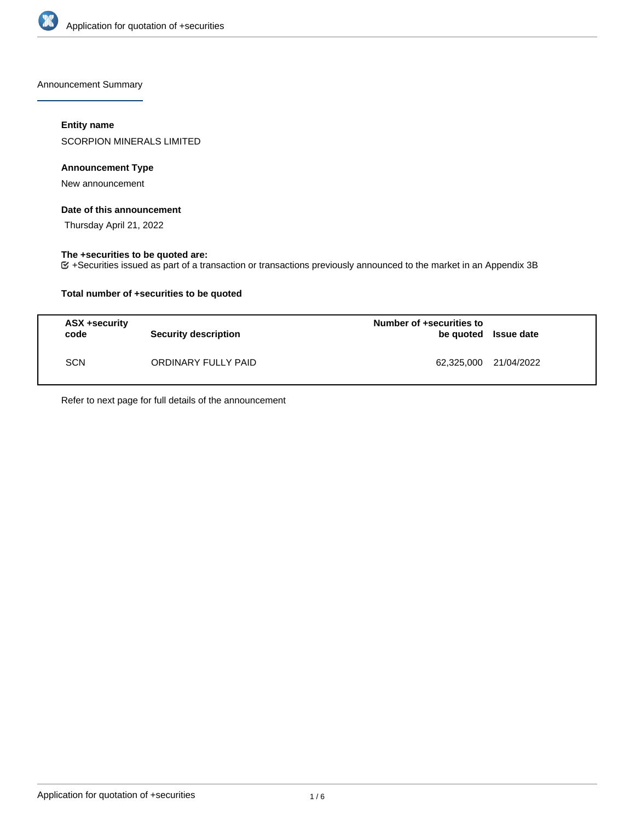

Announcement Summary

# **Entity name**

SCORPION MINERALS LIMITED

# **Announcement Type**

New announcement

## **Date of this announcement**

Thursday April 21, 2022

# **The +securities to be quoted are:**

+Securities issued as part of a transaction or transactions previously announced to the market in an Appendix 3B

# **Total number of +securities to be quoted**

| <b>ASX +security</b><br>code | <b>Security description</b> | Number of +securities to<br>be quoted Issue date |  |
|------------------------------|-----------------------------|--------------------------------------------------|--|
| <b>SCN</b>                   | ORDINARY FULLY PAID         | 62,325,000 21/04/2022                            |  |

Refer to next page for full details of the announcement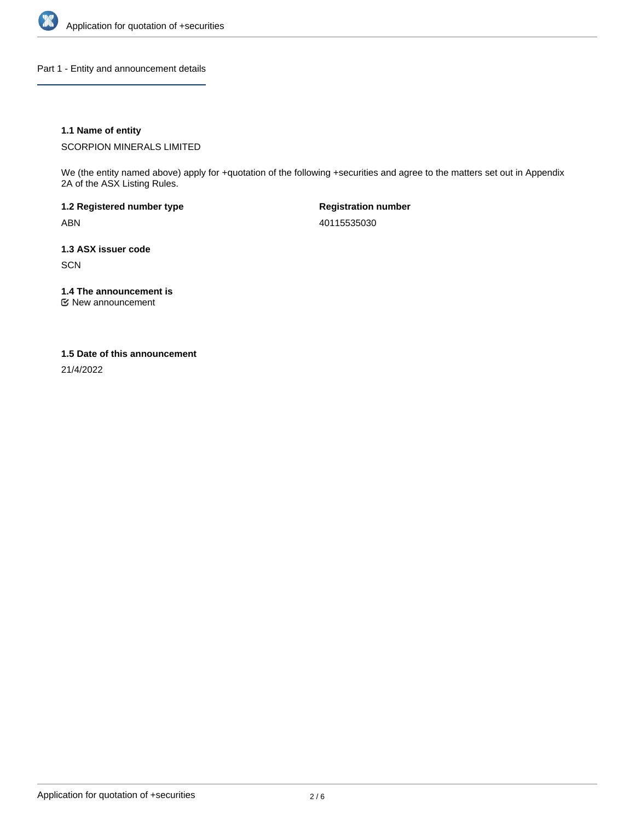

Part 1 - Entity and announcement details

# **1.1 Name of entity**

SCORPION MINERALS LIMITED

We (the entity named above) apply for +quotation of the following +securities and agree to the matters set out in Appendix 2A of the ASX Listing Rules.

**1.2 Registered number type** ABN

**Registration number** 40115535030

**1.3 ASX issuer code SCN** 

**1.4 The announcement is**

New announcement

### **1.5 Date of this announcement**

21/4/2022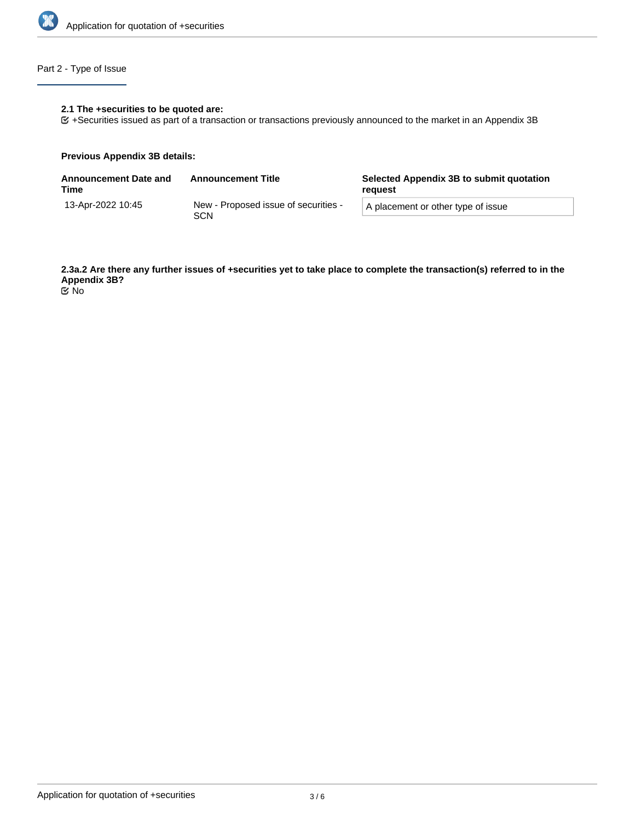

# Part 2 - Type of Issue

# **2.1 The +securities to be quoted are:**

+Securities issued as part of a transaction or transactions previously announced to the market in an Appendix 3B

### **Previous Appendix 3B details:**

| <b>Announcement Date and</b><br>Time | <b>Announcement Title</b>                   | Selected Appendix 3B to submit quotation<br>reguest |  |
|--------------------------------------|---------------------------------------------|-----------------------------------------------------|--|
| 13-Apr-2022 10:45                    | New - Proposed issue of securities -<br>SCN | A placement or other type of issue                  |  |

**2.3a.2 Are there any further issues of +securities yet to take place to complete the transaction(s) referred to in the Appendix 3B?** No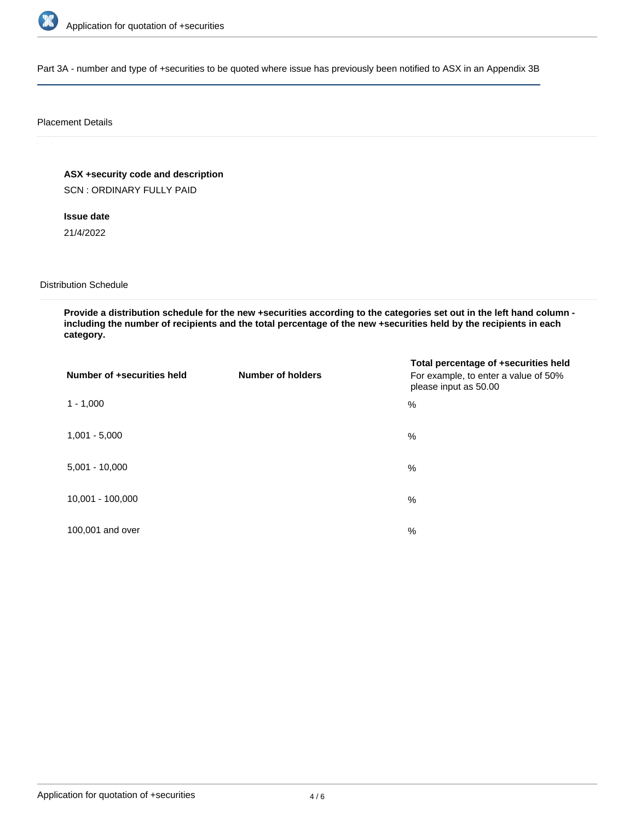

Part 3A - number and type of +securities to be quoted where issue has previously been notified to ASX in an Appendix 3B

### Placement Details

**ASX +security code and description**

SCN : ORDINARY FULLY PAID

**Issue date**

21/4/2022

Distribution Schedule

**Provide a distribution schedule for the new +securities according to the categories set out in the left hand column including the number of recipients and the total percentage of the new +securities held by the recipients in each category.**

| Number of +securities held | <b>Number of holders</b> | Total percentage of +securities held<br>For example, to enter a value of 50%<br>please input as 50.00 |
|----------------------------|--------------------------|-------------------------------------------------------------------------------------------------------|
| $1 - 1,000$                |                          | %                                                                                                     |
| $1,001 - 5,000$            |                          | $\%$                                                                                                  |
| $5,001 - 10,000$           |                          | %                                                                                                     |
| 10,001 - 100,000           |                          | $\frac{0}{0}$                                                                                         |
| 100,001 and over           |                          | $\%$                                                                                                  |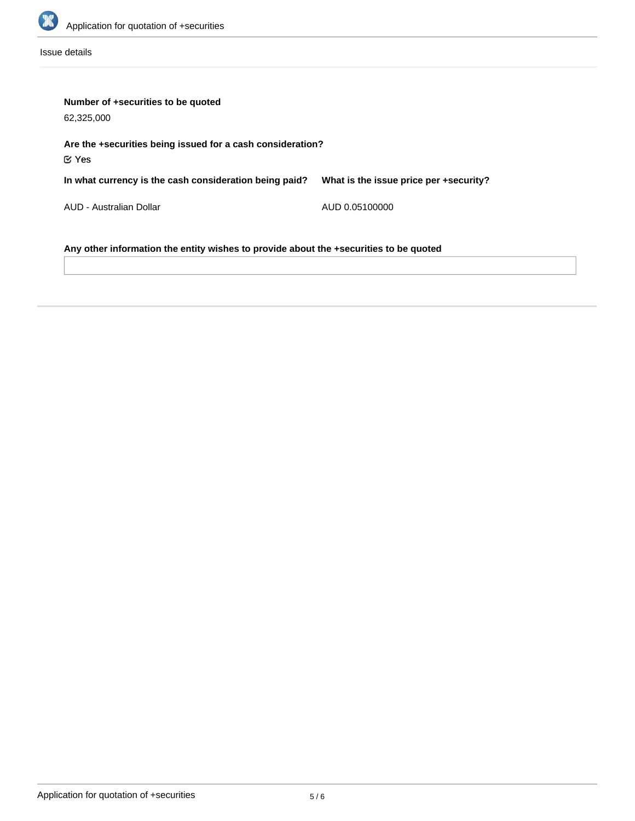

Issue details

| Number of +securities to be quoted<br>62,325,000                                      |                                        |  |  |  |
|---------------------------------------------------------------------------------------|----------------------------------------|--|--|--|
| Are the +securities being issued for a cash consideration?<br>$\mathfrak C$ Yes       |                                        |  |  |  |
| In what currency is the cash consideration being paid?                                | What is the issue price per +security? |  |  |  |
| AUD - Australian Dollar                                                               | AUD 0.05100000                         |  |  |  |
| Any other information the entity wishes to provide about the +securities to be quoted |                                        |  |  |  |